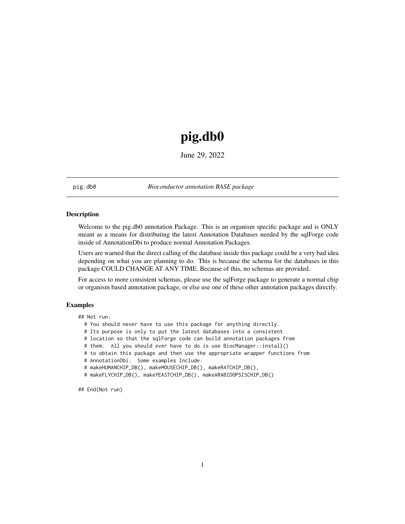## pig.db0

June 29, 2022

<span id="page-0-0"></span>pig.db0 *Bioconductor annotation BASE package*

## **Description**

Welcome to the pig.db0 annotation Package. This is an organism specific package and is ONLY meant as a means for distributing the latest Annotation Databases needed by the sqlForge code inside of AnnotationDbi to produce normal Annotation Packages.

Users are warned that the direct calling of the database inside this package could be a very bad idea depending on what you are planning to do. This is because the schema for the databases in this package COULD CHANGE AT ANY TIME. Because of this, no schemas are provided.

For access to more consistent schemas, please use the sqlForge package to generate a normal chip or organism based annotation package, or else use one of these other annotation packages directly.

## Examples

## Not run:

- # You should never have to use this package for anything directly.
- # Its purpose is only to put the latest databases into a consistent
- # location so that the sqlForge code can build annotation packages from
- # them. All you should ever have to do is use BiocManager::install()
- # to obtain this package and then use the appropriate wrapper functions from
- # AnnotationDbi. Some examples Include:

```
# makeHUMANCHIP_DB(), makeMOUSECHIP_DB(), makeRATCHIP_DB(),
```
# makeFLYCHIP\_DB(), makeYEASTCHIP\_DB(), makeARABIDOPSISCHIP\_DB()

## End(Not run)